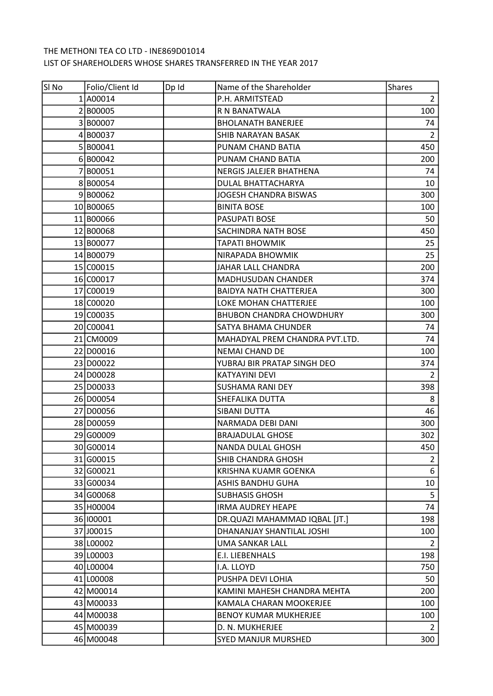## THE METHONI TEA CO LTD - INE869D01014 LIST OF SHAREHOLDERS WHOSE SHARES TRANSFERRED IN THE YEAR 2017

| SI No | Folio/Client Id | Dp Id | Name of the Shareholder         | <b>Shares</b>  |
|-------|-----------------|-------|---------------------------------|----------------|
|       | 1A00014         |       | P.H. ARMITSTEAD                 | $\overline{2}$ |
|       | 2B00005         |       | R N BANATWALA                   | 100            |
|       | 3B00007         |       | <b>BHOLANATH BANERJEE</b>       | 74             |
|       | 4B00037         |       | SHIB NARAYAN BASAK              | $\overline{2}$ |
|       | 5 B00041        |       | PUNAM CHAND BATIA               | 450            |
|       | 6B00042         |       | PUNAM CHAND BATIA               | 200            |
|       | 7B00051         |       | NERGIS JALEJER BHATHENA         | 74             |
|       | 8B00054         |       | DULAL BHATTACHARYA              | 10             |
|       | 9B00062         |       | JOGESH CHANDRA BISWAS           | 300            |
|       | 10 B00065       |       | <b>BINITA BOSE</b>              | 100            |
|       | 11 B00066       |       | PASUPATI BOSE                   | 50             |
|       | 12 B00068       |       | SACHINDRA NATH BOSE             | 450            |
|       | 13 B00077       |       | <b>TAPATI BHOWMIK</b>           | 25             |
|       | 14 B00079       |       | <b>NIRAPADA BHOWMIK</b>         | 25             |
|       | 15 C00015       |       | JAHAR LALL CHANDRA              | 200            |
|       | 16 C00017       |       | MADHUSUDAN CHANDER              | 374            |
|       | 17 C00019       |       | <b>BAIDYA NATH CHATTERJEA</b>   | 300            |
|       | 18 C00020       |       | LOKE MOHAN CHATTERJEE           | 100            |
|       | 19 C00035       |       | <b>BHUBON CHANDRA CHOWDHURY</b> | 300            |
|       | 20 C00041       |       | SATYA BHAMA CHUNDER             | 74             |
|       | 21 CM0009       |       | MAHADYAL PREM CHANDRA PVT.LTD.  | 74             |
|       | 22 D00016       |       | <b>NEMAI CHAND DE</b>           | 100            |
|       | 23 D00022       |       | YUBRAJ BIR PRATAP SINGH DEO     | 374            |
|       | 24 D00028       |       | <b>KATYAYINI DEVI</b>           | $\overline{2}$ |
|       | 25 D00033       |       | <b>SUSHAMA RANI DEY</b>         | 398            |
|       | 26 D00054       |       | SHEFALIKA DUTTA                 | 8              |
|       | 27 D00056       |       | SIBANI DUTTA                    | 46             |
|       | 28 D00059       |       | NARMADA DEBI DANI               | 300            |
|       | 29 G00009       |       | <b>BRAJADULAL GHOSE</b>         | 302            |
|       | 30 G00014       |       | NANDA DULAL GHOSH               | 450            |
|       | 31 G00015       |       | SHIB CHANDRA GHOSH              | $\overline{2}$ |
|       | 32 G00021       |       | <b>KRISHNA KUAMR GOENKA</b>     | 6              |
|       | 33 G00034       |       | ASHIS BANDHU GUHA               | 10             |
|       | 34 G00068       |       | <b>SUBHASIS GHOSH</b>           | 5              |
|       | 35 H00004       |       | <b>IRMA AUDREY HEAPE</b>        | 74             |
|       | 36 100001       |       | DR.QUAZI MAHAMMAD IQBAL [JT.]   | 198            |
|       | 37 J00015       |       | DHANANJAY SHANTILAL JOSHI       | 100            |
|       | 38 L00002       |       | UMA SANKAR LALL                 | 2              |
|       | 39 L00003       |       | E.I. LIEBENHALS                 | 198            |
|       | 40 L00004       |       | I.A. LLOYD                      | 750            |
|       | 41 L00008       |       | PUSHPA DEVI LOHIA               | 50             |
|       | 42 M00014       |       | KAMINI MAHESH CHANDRA MEHTA     | 200            |
|       | 43 M00033       |       | KAMALA CHARAN MOOKERJEE         | 100            |
|       | 44 M00038       |       | <b>BENOY KUMAR MUKHERJEE</b>    | 100            |
|       | 45 M00039       |       | D. N. MUKHERJEE                 | 2              |
|       | 46 M00048       |       | SYED MANJUR MURSHED             | 300            |